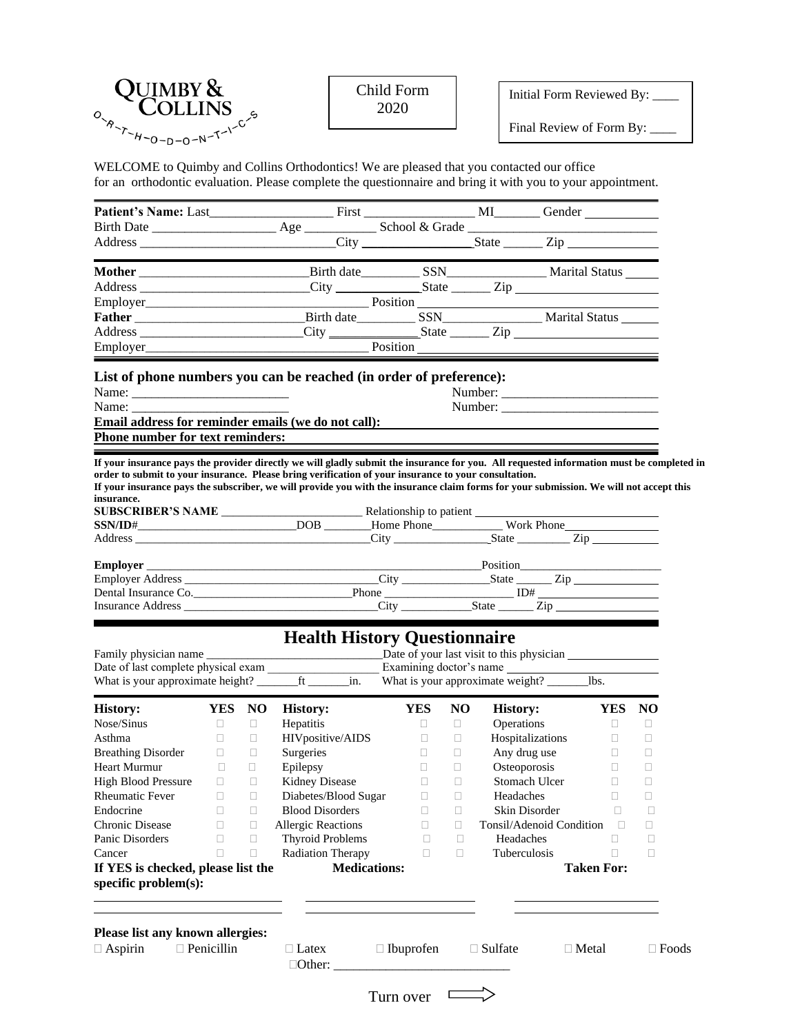Initial Form Reviewed By: \_\_\_\_

Final Review of Form By:  $\_$ 

 $\frac{1}{\sqrt{2}}$ 

WELCOME to Quimby and Collins Orthodontics! We are pleased that you contacted our office for an orthodontic evaluation. Please complete the questionnaire and bring it with you to your appointment.

| Address _________________________City ____________________State ________Zip ________________________                                                                                                                                                                                     |                   |        |                                     |                     |                                                            |        |                          |                   |        |              |
|------------------------------------------------------------------------------------------------------------------------------------------------------------------------------------------------------------------------------------------------------------------------------------------|-------------------|--------|-------------------------------------|---------------------|------------------------------------------------------------|--------|--------------------------|-------------------|--------|--------------|
| Employer Position Position Position                                                                                                                                                                                                                                                      |                   |        |                                     |                     |                                                            |        |                          |                   |        |              |
| List of phone numbers you can be reached (in order of preference):                                                                                                                                                                                                                       |                   |        |                                     |                     |                                                            |        |                          |                   |        |              |
| Name:                                                                                                                                                                                                                                                                                    |                   |        |                                     |                     |                                                            |        |                          |                   |        |              |
| Name: New York 1988                                                                                                                                                                                                                                                                      |                   |        |                                     |                     |                                                            |        |                          |                   |        |              |
| <b>Email address for reminder emails (we do not call):</b><br>Phone number for text reminders:                                                                                                                                                                                           |                   |        |                                     |                     |                                                            |        |                          |                   |        |              |
|                                                                                                                                                                                                                                                                                          |                   |        |                                     |                     |                                                            |        |                          |                   |        |              |
| If your insurance pays the provider directly we will gladly submit the insurance for you. All requested information must be completed in<br>order to submit to your insurance. Please bring verification of your insurance to your consultation.                                         |                   |        |                                     |                     |                                                            |        |                          |                   |        |              |
| If your insurance pays the subscriber, we will provide you with the insurance claim forms for your submission. We will not accept this                                                                                                                                                   |                   |        |                                     |                     |                                                            |        |                          |                   |        |              |
| insurance.                                                                                                                                                                                                                                                                               |                   |        |                                     |                     |                                                            |        |                          |                   |        |              |
|                                                                                                                                                                                                                                                                                          |                   |        |                                     |                     |                                                            |        |                          |                   |        |              |
| Address Tip                                                                                                                                                                                                                                                                              |                   |        |                                     |                     |                                                            |        |                          |                   |        |              |
|                                                                                                                                                                                                                                                                                          |                   |        |                                     |                     |                                                            |        |                          |                   |        |              |
|                                                                                                                                                                                                                                                                                          |                   |        |                                     |                     |                                                            |        |                          |                   |        |              |
|                                                                                                                                                                                                                                                                                          |                   |        |                                     |                     |                                                            |        |                          |                   |        |              |
|                                                                                                                                                                                                                                                                                          |                   |        |                                     |                     |                                                            |        |                          |                   |        |              |
|                                                                                                                                                                                                                                                                                          |                   |        |                                     |                     |                                                            |        |                          |                   |        |              |
|                                                                                                                                                                                                                                                                                          |                   |        |                                     |                     |                                                            |        |                          |                   |        |              |
|                                                                                                                                                                                                                                                                                          |                   |        | <b>Health History Questionnaire</b> |                     |                                                            |        |                          |                   |        |              |
|                                                                                                                                                                                                                                                                                          | YES NO            |        | <b>History:</b>                     |                     | <b>YES</b>                                                 | NO.    | <b>History:</b>          |                   | YES NO |              |
|                                                                                                                                                                                                                                                                                          | $\Box$            | $\Box$ | Hepatitis                           |                     | $\Box$                                                     | $\Box$ | Operations               |                   | $\Box$ | $\Box$       |
|                                                                                                                                                                                                                                                                                          | $\Box$            | $\Box$ | HIVpositive/AIDS                    |                     | $\Box$                                                     | $\Box$ | Hospitalizations         |                   | $\Box$ | □            |
|                                                                                                                                                                                                                                                                                          |                   | $\Box$ | Surgeries                           |                     | $\Box$                                                     | $\Box$ | Any drug use             |                   | $\Box$ | $\Box$       |
|                                                                                                                                                                                                                                                                                          |                   | $\Box$ | Epilepsy                            |                     | $\Box$                                                     | $\Box$ | Osteoporosis             |                   | $\Box$ | $\Box$       |
|                                                                                                                                                                                                                                                                                          |                   |        | Kidney Disease                      |                     | $\begin{array}{ccc} \square & \cdot & \square \end{array}$ |        | Stomach Ulcer D          |                   |        | $\Box$       |
|                                                                                                                                                                                                                                                                                          | $\Box$            | $\Box$ | Diabetes/Blood Sugar                |                     | $\Box$                                                     | $\Box$ | Headaches                |                   | $\Box$ | □            |
|                                                                                                                                                                                                                                                                                          | П.                | $\Box$ | <b>Blood Disorders</b>              |                     | $\Box$                                                     | $\Box$ | Skin Disorder            |                   | П      | $\Box$       |
|                                                                                                                                                                                                                                                                                          | $\Box$            | $\Box$ | <b>Allergic Reactions</b>           |                     | □                                                          | $\Box$ | Tonsil/Adenoid Condition |                   | $\Box$ | □            |
|                                                                                                                                                                                                                                                                                          | □                 | $\Box$ | <b>Thyroid Problems</b>             |                     | $\Box$                                                     | $\Box$ | Headaches                |                   | □      | $\Box$       |
|                                                                                                                                                                                                                                                                                          | $\Box$            | $\Box$ | <b>Radiation Therapy</b>            |                     | $\Box$                                                     | $\Box$ | Tuberculosis             |                   | $\Box$ | $\Box$       |
|                                                                                                                                                                                                                                                                                          |                   |        |                                     | <b>Medications:</b> |                                                            |        |                          | <b>Taken For:</b> |        |              |
|                                                                                                                                                                                                                                                                                          |                   |        |                                     |                     |                                                            |        |                          |                   |        |              |
| <b>History:</b><br>Nose/Sinus<br>Asthma<br>Breathing Disorder<br>Heart Murmur<br><b>Rheumatic Fever</b><br>Endocrine<br>Chronic Disease<br>Panic Disorders<br>Cancer<br>If YES is checked, please list the<br>specific problem(s):<br>Please list any known allergies:<br>$\Box$ Aspirin | $\Box$ Penicillin |        | $\Box$ Latex                        | $\Box$ Ibuprofen    |                                                            |        | $\Box$ Sulfate           | $\Box$ Metal      |        | $\Box$ Foods |